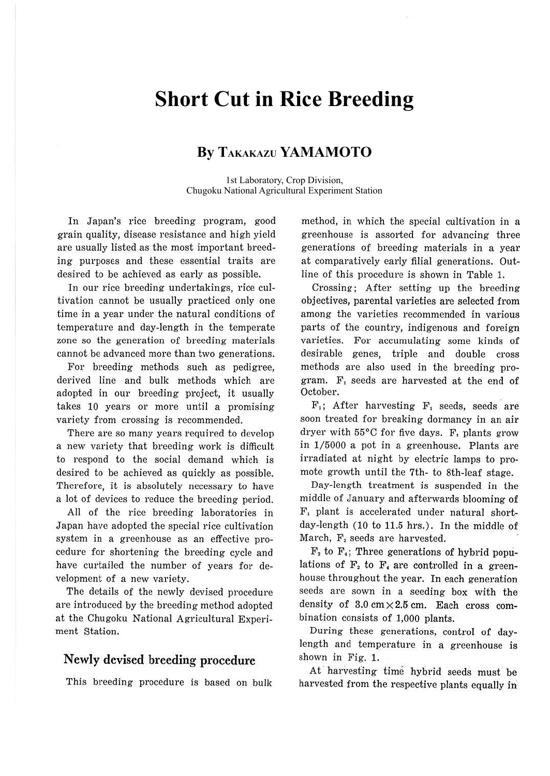# **Short Cut in Rice Breeding**

# **By TAKAKAZU YAMAMOTO**

1st Laboratory, Crop Division, Chugoku National Agricultural Experiment Station

In Japan's rice breeding program, good grain quality, disease resistance and high yield are usually listed as the most important breeding purposes and these essential traits are desired to be achieved as early as possible.

In our rice breeding undertakings, rice cultivation cannot be usually practiced only one time in a year under the natural conditions of temperature and day-length in the temperate zone so the generation of breeding materials cannot be advanced more than two generations.

For breeding methods such as pedigree, derived line and bulk methods which are adopted in our breeding project, it usually takes 10 years or more until a promising variety from crossing is recommended.

There are so many years required to develop a new variety that breeding work is difficult to respond to the social demand which is desired to be achieved as quickly as possible. Therefore, it is absolutely necessary to have a lot of devices to reduce the breeding period.

All of the rice breeding laboratories in Japan have adopted the special rice cultivation system in a greenhouse as an effective procedure for shortening the breeding cycle and have curtailed the number of years for development of a new variety.

The details of the newly devised procedure are introduced by the breeding method adopted at the Chugoku National Agricultural Experiment Station.

#### **Newly devised breeding procedure**

This breeding procedure is based on bulk

method, in which the special cultivation in a greenhouse is assorted for advancing three generations of breeding materials in a year at comparatively early filial generations. Outline of this procedure is shown in Table 1.

Crossing; After setting up the breeding objectives, parental varieties are selected from among the varieties recommended in various parts of the country, indigenous and foreign varieties. For accumulating some kinds of desirable genes, triple and double cross methods are also used in the breeding program. F, seeds are harvested at the end of October.

 $\mathbf{F}_1$ ; After harvesting  $\mathbf{F}_1$  seeds, seeds are soon treated for breaking dormancy in an air dryer with 55°C for five days. F, plants grow in 1/5000 a pot in a greenhouse. Plants are irradiated at night by electric lamps to promote growth until the 7th- to 8th-leaf stage.

Day-length treatment is suspended in the middle of January and afterwards blooming of F, plant is accelerated under natural shortday-length (10 to 11.5 hrs.). In the middle of March, F, seeds are harvested.

 $F<sub>2</sub>$  to  $F<sub>4</sub>$ ; Three generations of hybrid populations of  $F_2$  to  $F_4$  are controlled in a greenhouse throughout the year. In each generation seeds are sown in a seeding box with the density of  $3.0 \text{ cm} \times 2.5 \text{ cm}$ . Each cross combination consists of 1,000 plants.

During these generations, control of daylength and temperature in a greenhouse is shown in Fig. 1.

At' harvesting- time hyorid seeds must be harvested from the respective plants equally in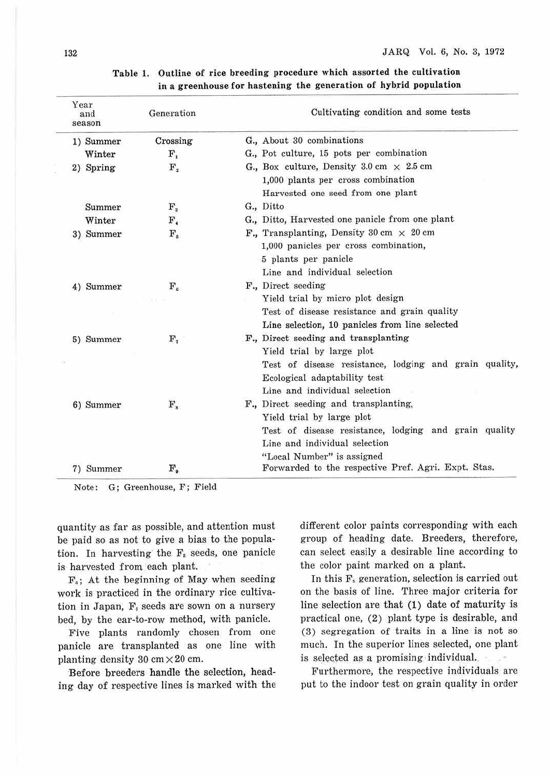|  | Year<br>and<br>season | Generation                | Cultivating condition and some tests                   |
|--|-----------------------|---------------------------|--------------------------------------------------------|
|  | 1) Summer             | Crossing                  | G., About 30 combinations                              |
|  | Winter                | $\mathbf{F}_i$            | G., Pot culture, 15 pots per combination               |
|  | 2) Spring             | $\mathbf{F}_{\mathbf{z}}$ | G., Box culture, Density 3.0 cm $\times$ 2.5 cm        |
|  |                       |                           | 1,000 plants per cross combination                     |
|  |                       |                           | Harvested one seed from one plant                      |
|  | Summer                | $\mathbf{F}_3$            | G., Ditto                                              |
|  | Winter                | F.                        | G., Ditto, Harvested one panicle from one plant        |
|  | 3) Summer             | $\mathbf{F}_s$            | F., Transplanting, Density 30 cm $\times$ 20 cm        |
|  |                       |                           | 1,000 panicles per cross combination,                  |
|  |                       |                           | 5 plants per panicle                                   |
|  |                       |                           | Line and individual selection                          |
|  | 4) Summer             | $\mathbf{F}_a$            | F., Direct seeding                                     |
|  |                       |                           | Yield trial by micro plot design                       |
|  |                       |                           | Test of disease resistance and grain quality           |
|  |                       |                           | Line selection, 10 panicles from line selected         |
|  | 5) Summer             | $\mathbf{F}_{\tau}$       | F., Direct seeding and transplanting                   |
|  |                       |                           | Yield trial by large plot                              |
|  |                       |                           | Test of disease resistance, lodging and grain quality, |
|  |                       |                           | Ecological adaptability test                           |
|  |                       |                           | Line and individual selection                          |
|  | 6) Summer             | ${\bf F_s}$               | F., Direct seeding and transplanting.                  |
|  |                       |                           | Yield trial by large plot                              |
|  |                       |                           | Test of disease resistance, lodging and grain quality  |
|  |                       |                           | Line and individual selection                          |
|  |                       |                           | "Local Number" is assigned                             |
|  | 7) Summer             | $\mathbf{F}_\bullet$      | Forwarded to the respective Pref. Agri. Expt. Stas.    |

#### **Table 1. Outline of rice breeding procedure** which **assorted the cultivation**  in a greenhouse for hastening the generation of hybrid population

Note: G; Greenhouse, F; Field

quantity as far as possible, and attention must be paid so as not to give a bias to the population. In harvesting the  $F_s$  seeds, one panicle is harvested from each plant.

 $F_s$ : At the beginning of May when seeding work is practiced in the ordinary rice cultivation in Japan,  $F_s$  seeds are sown on a nursery bed, by the ear-to-row method, with panicle.

Five plants randomly chosen from one panicle are transplanted as one line with planting density  $30 \text{ cm} \times 20 \text{ cm}$ .

·Before breeders handle the selection, heading day of respective lines is marked with the different color paints corresponding with each group of heading date. Breeders, therefore, can select easily a desirable line according to the color paint marked on a plant.

In this F. generation, selection is carried out on the basis of line. Three major criteria for line selection are that (1) date of maturity is practical one, (2) plant type is desirable, and ( 3) segregation of traits in a line is not so much. In the superior lines selected, one plant is selected as a promising individual.

Furthermore, the respective individuals are put to the indoor test on grain quality in order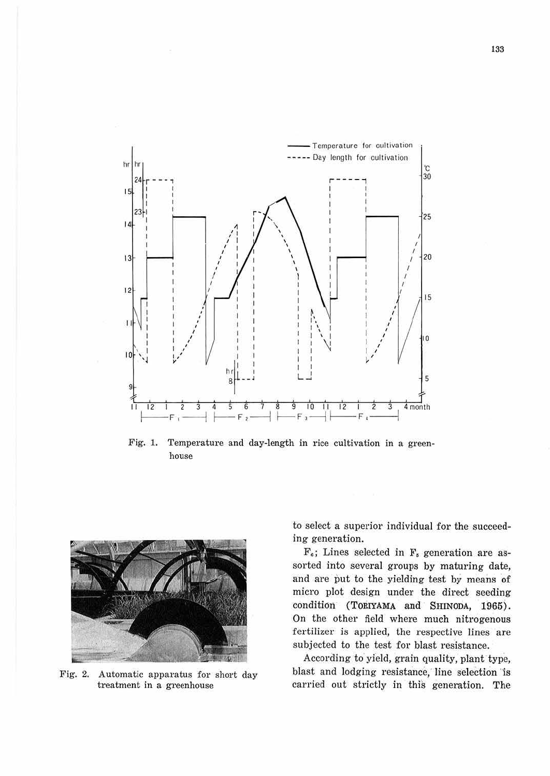

Fig. 1. Temperature and day-length in rice cultivation in a greenhouse



Fig. 2. Automatic apparatus for short day treatment in a greenhouse

to select a superior individual for the succeeding generation.

 $F_6$ ; Lines selected in  $F_5$  generation are assorted into several groups by maturing date, and are put to the yielding test by means of micro plot design under the direct seeding condition (TORIYAMA and SHINODA, 1965). On the other field where much nitrogenous fertilizer is applied, the respective lines are subjected to the test for blast resistance.

According to yield, grain quality, plant type, blast and lodging resistance, line selection is carried out strictly in this generation. The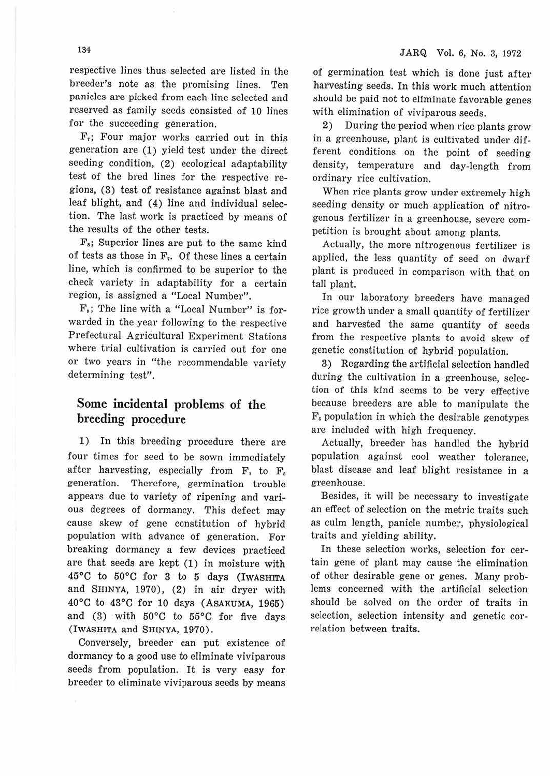respective lines thus selected are listed in the breeder's note as the promising lines. Ten panicles are picked from each line selected and reserved as family seeds consisted of 10 lines for the succeeding generation.

F,; Four major works carried out in this generation are (1) yield test under the direct seeding condition, (2) ecological adaptability test of the bred lines for the respective regions, (3) test of resistance against blast and leaf blight, and (4) line and individual selection. The last work is practiced by means of the results of the other tests.

 $F_s$ ; Superior lines are put to the same kind of tests as those in  $F<sub>r</sub>$ . Of these lines a certain line, which is confirmed to be superior to the check variety in adaptability for a certain region, is assigned a "Local Number".

F.; The line with a "Local Number" is forwarded in the year following to the respective Prefectural Agricultural Experiment Stations where trial cultivation is carried out for one or two years in "the recommendable variety determining test".

### **Some incidental problems of the breeding procedure**

1) In this breeding procedure there are four times for seed to be sown immediately after harvesting, especially from F, to F. generation. Therefore, germination trouble appears due to variety of ripening and various degrees of dormancy. This defect may cause skew of gene constitution of hybrid population with advance of generation. For breaking dormancy a few devices practiced are that seeds are kept (1) in moisture with 45°0 to 50°C for 3 to 5 days (IWASHITA and SHINYA, 1970), (2) in air dryer with 40°C to 43°C for 10 days (ASAKUMA, 1965) and (3) with 50°C to 55°C for five days (IWASHITA and SHINYA, 1970).

Conversely, breeder can put existence of dormancy to a good use to eliminate viviparous seeds from population. It is very easy for breeder to eliminate viviparous seeds by means of germination test which is done just after harvesting seeds. In this work much attention should be paid not to eliminate favorable genes with elimination of viviparous seeds.

2) During the period when rice plants grow in a greenhouse, plant is cultivated under different conditions on the point of seeding density, temperature and day-length from ordinary rice cultivation.

When rice plants grow under extremely high seeding density or much application of nitrogenous fertilizer in a greenhouse, severe competition is brought about among plants.

Actually, the more nitrogenous fertilizer is applied, the less quantity of seed on dwarf plant is produced in comparison with that on tall plant.

In our laboratory breeders have managed rice growth under a small quantity of fertilizer and harvested the same quantity of seeds from the respective plants to avoid skew of genetic constitution of hybrid population.

3) Regarding the artificial selection handled during the cultivation in a greenhouse, selection of this kind seems to be very effective because breeders are able to manipulate the  $F_s$  population in which the desirable genotypes are included with high frequency.

Actually, breeder has handled the hybrid population against cool weather tolerance, blast disease and leaf blight resistance in a greenhouse.

Besides, it will be necessary to investigate an effect of selection on the metric traits such as culm length, panicle number, physiological traits and yielding ability.

In these selection works, selection for certain gene of plant may cause the elimination of other desirable gene or genes. Many problems concerned with the artificial selection should be solved on the order of traits in selection, selection intensity and genetic correlation between traits.